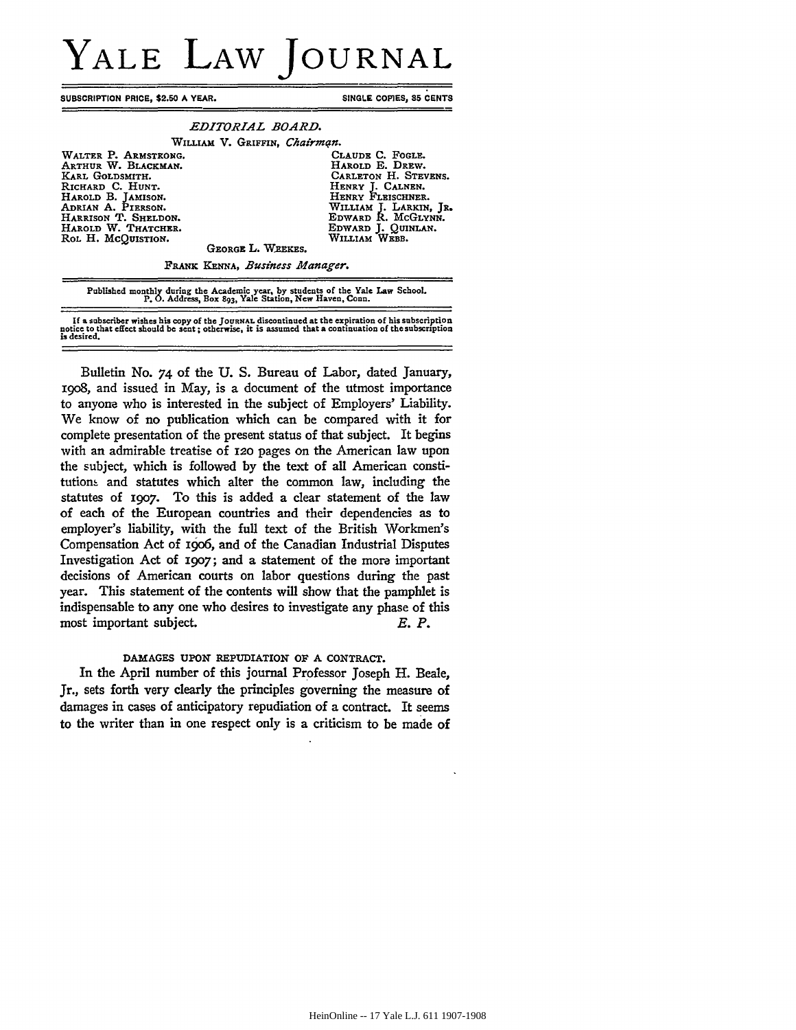## **YALE LAW JOURNAL YALE** LAW JOURNAL

SUBSCRIPTION PRICE, \$2.50 A YEAR. SINGLE COPIES, 85 CENTS

## *EDITORIAL BOARD. EDITORIAL BOARD.*

WILLIAM V. GRIFFIN, *Chairman*.

| WALTER P. ARMSTRONG.           | CLAUDE C. FOGLE.       |
|--------------------------------|------------------------|
| ARTHUR W. BLACKMAN.            | HAROLD E. DREW.        |
| KARL GOLDSMITH.                | CARLETON H. STEVENS.   |
| RICHARD C. HUNT.               | HENRY J. CALNEN.       |
| HAROLD B. JAMISON.             | HENRY FLEISCHNER.      |
| ADRIAN A. PIERSON.             | WILLIAM J. LARKIN, JR. |
| HARRISON T. SHELDON.           | EDWARD R. MCGLYNN.     |
| HAROLD W. THATCHER.            | EDWARD J. QUINLAN.     |
| ROL H. MCQUISTION.             | WILLIAM WEBB.          |
| GEORGE L. WEEKES.              |                        |
| FRANK KENNA, Business Manager. |                        |

| Published monthly during the Academic year, by students of the Yale Law School.<br>P. O. Address, Box 893, Yale Station, New Haven, Conn. |  |  |
|-------------------------------------------------------------------------------------------------------------------------------------------|--|--|
|                                                                                                                                           |  |  |

If a subscriber wishes his copy of the Journal discontinued at the expiration of his subscription<br>notice to that effect should be sent; otherwise, it is assumed that a continuation of the subscription<br>is desired, notice to that effect should be sent; otherwise, it is assumed that a continuation of the subscription is desired.

Bulletin No. 74 of the U. **S.** Bureau of Labor, dated January, Bulletin No. 74 of the U. S. Bureau of Labor, dated January, I9O8, and issued in May, is a document of the utmost importance 1908, and issued in May, is a document of the utmost importance to anyone who is interested in the subject of Employers' Liability. to anyone who is interested in the subject of Employers' Liability. We know of no publication which can be compared with it for We know of no publication which can be compared with it for complete presentation of the present status of that subject. It begins complete presentation of the present status of that subject. It begins with an admirable treatise of **120** pages on the American law upon with an admirable treatise of 120 pages on the American law upon the subject, which is followed by the text of all American consti-the subject, which is followed by the text of all American constitutions and statutes which alter the common law, including the statutes of i9o7. To this is added a clear statement of the law statutes of 1907. To this is added a clear statement of the law of each of the European countries and their dependencies as to employer's liability, with the full text of the British Workmen's employer's liability, with the full text of the British Workmen's Compensation Act of 19o6, and of the Canadian Industrial Disputes Compensation Act of 1906, and of the Canadian Industrial Disputes Investigation Act of I9o7; and a statement of the more important Investigation Act of 1907; and a statement of the mora important decisions of American courts on labor questions during the past decisions of American courts on labor questions during the past year. This statement of the contents will show that the pamphlet is year. This statement of the contents will show that the pamphlet is indispensable to any one who desires to investigate any phase of this mate pensable to any one who dense to investigate any phase of the most important subject. E. P.

## **DAMAGES UPON REPUDIATION OF A CONTRACT.** DAMAGES UPON REPUDIATION OF A CONTRACT.

In the April number of this journal Professor Joseph H. Beale, In the April number of this journal Professor Joseph H. Beale, Jr., sets forth very clearly the principles governing the measure of Jr., sets forth very clearly the principles governing the measure of damages in cases of anticipatory repudiation of a contract. It seems to the writer than in one respect only is a criticism to be made of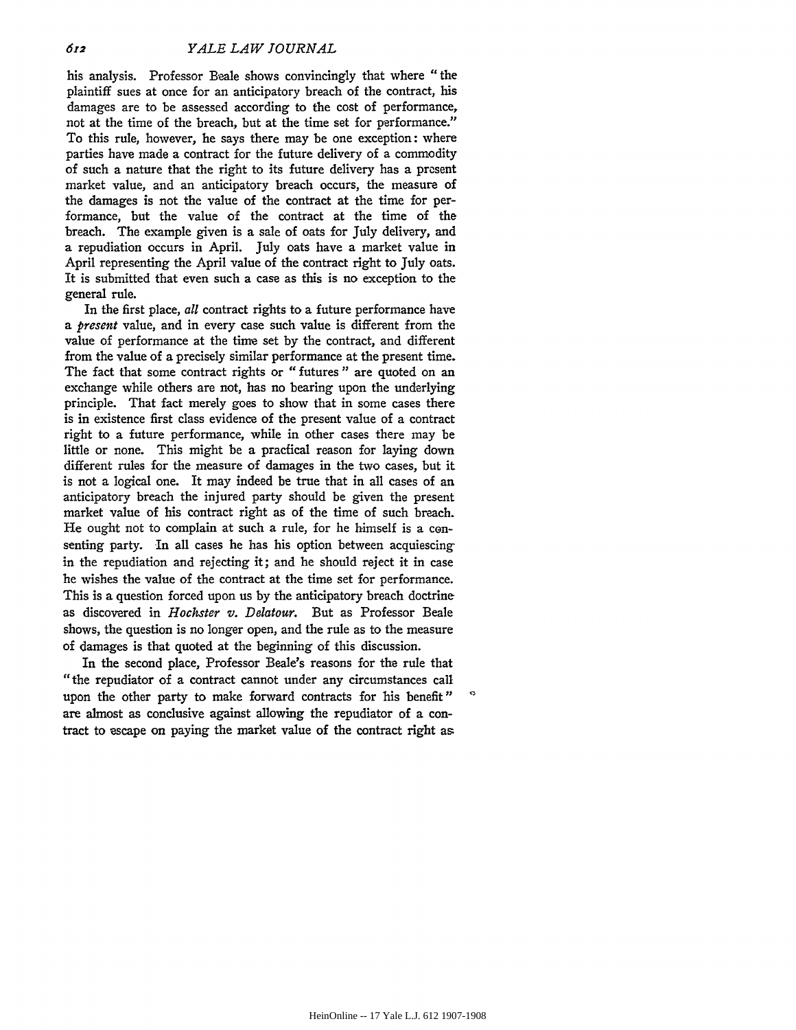his analysis. Professor Beale shows convincingly that where "the his analysis. Professor Heale shows convincingly that where "the plaintiff sues at once for an anticipatory breach of the contract, his plaintiff sues at once for an anticipatory breach of the contract, his damages are to be assessed according to the cost of performance, damages are to be assessed according to the cost of performance, not at the time of the breach, but at the time set for performance." To this rule, however, he says there may be one exception: where To this rule, however, he says there may be one exception: where parties have made a contract for the future delivery of a commodity parties have made a contract for the future delivery of a commodity of such a nature that the right to its future delivery has a present of such a nature that the right to its future delivery has a present market value, and an anticipatory breach occurs, the measure of market value, and an anticipatory breach occurs, the measure of the damages is not the value of the contract at the time for per-the damages is not the value of the contract at the time for performance, but the value of the contract at the time of the formance, but the value of the contract at the time of the breach. The example given is a sale of oats for July delivery, and breach. The example given is a sale of oats for July delivery, and a repudiation occurs in April. July oats have a market value in a repudiation occurs in April. July oats have a market value in April representing the April value of the contract right to July oats. April representing the April value of the contract right to July oats. It is submitted that even such a case as this is no exception to the It is submitted that even such a case as this is no exception to the general rule. general rule.

In the first place, *all* contract rights to a future performance have *a present* value, and in every case such value is different from the a *present* value, and in every case such value is different from the value of performance at the time set **by** the contract, and different value of performance at the time set by the contract, and different from the value of a precisely similar performance at the present time. The fact that some contract rights or "futures" are quoted on an The fact that some contract rights or "futures" are quoted on an exchange while others are not, has no bearing upon the underlying exchange while others are not, has no bearing upon the underlying principle. That fact merely goes to show that in some cases there principle. That fact merely goes to show that in some cases there is in existence first class evidence of the present value of a contract is in existence first class evidence of the present value of a contract right to a future performance, while in other cases there may be right to a future performance, while in other cases there may be little or none. This might be a pracfical reason for laying down little or none. This might be a pradical reason for laying down different rules for the measure of damages in the two cases, but it different rules for the measure of damages in the two cases, but it is not a logical one. It may indeed be true that in all cases of an is not a logical one. It may indeed be true that in all cases of an anticipatory breach the injured party should be given the present anticipatory breach the injured party should be given the present market value of his contract right as of the time of such breach. market value of his contract right as of the time of such breach. He ought not to complain at such a rule, for he himself is a con-He ought not to complain at such a rule, for he himself is a CGnsenting party. In all cases he has his option between acquiescing senting party. In all cases he has his option between acquiescing in the repudiation and rejecting it; and he should reject it in case<br>he wishes the value of the contract at the time set for performance. he wishes the value of the contract at the time set for performance. This is a question forced upon us **by** the anticipatory breach doctrine This is a question forced upon us by the anticipatory breach doctrine<br>as discovered in *Hochster v. Delatour*. But as Professor Beale shows, the question is no longer open, and the rule as to the measure shows, the question is no longer open, and the rule as to the measureof damages is that quoted at the beginning of this discussion. of damages is that quoted at the beginning of this discussion.

In the second place, Professor Beale's reasons for the rule that "the repudiator of a contract cannot under any circumstances call "the repudiator of a contract cannot under any circumstances call upon the other party to make forward contracts for his benefit" upon the other party to make forward contracts for his benefit" are almost as conclusive against allowing the repudiator of a con-are almost as conclusive against allowing the repudiator of a contract to escape on paying the market value of the contract right as tract to escape on paying the market value of the contract right as

 $\circ$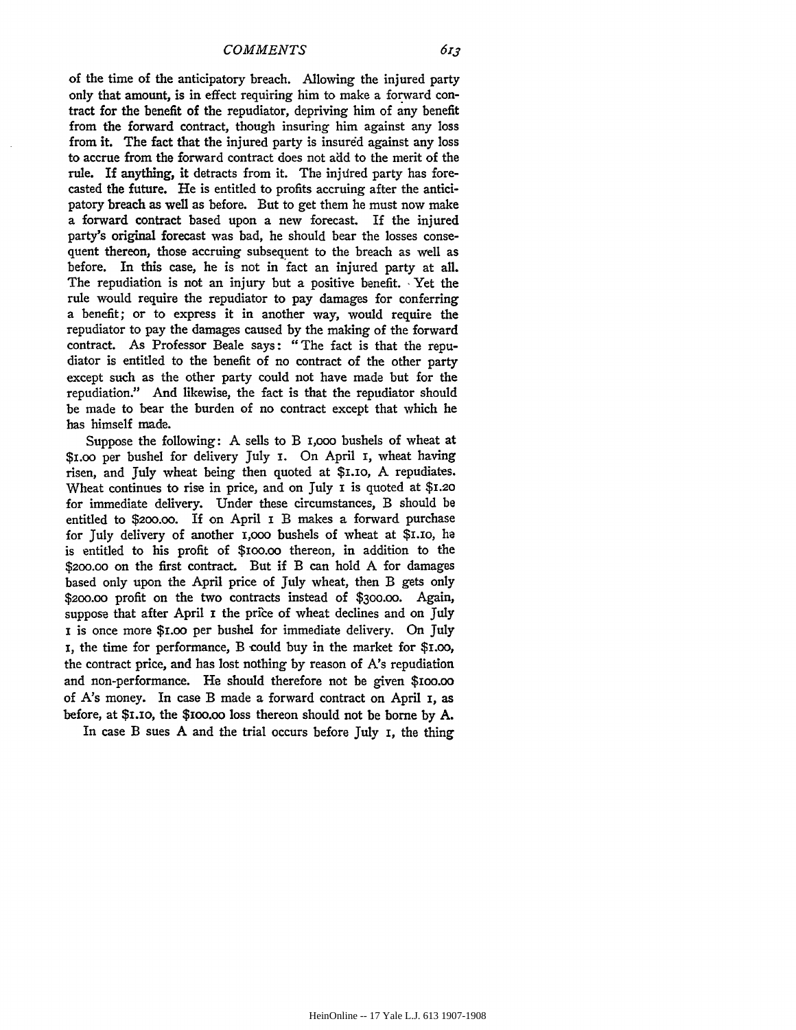of the time of the anticipatory breach. Allowing the injured party of the time of the anticipatory breach. Allowing the injured party only that amount, is in effect requiring him to make a forward contract for the benefit of the repudiator, depriving him of any benefit tract for the benefit of the repudiator, depriving him of any benefit from the forward contract, though insuring him against any loss from the forward contract, though insuring him against any loss from it. The fact that the injured party is insured against any loss to accrue from the forward contract does not add to the merit of the rule. If anything, it detracts from it. The injured party has forecasted the future. He is entitled to profits accruing after the antici-casted the future. He is entitled to profits accruing after the anticipatory breach as well as before. But to get them he must now make patory breach as well as before. But to get them he must now make a forward contract based upon a new forecast. If the injured <sup>a</sup> forward contract based upon <sup>a</sup> new forecast. If the injured party's original forecast was bad, he should bear the losses conse-party's original forecast was bad, he should bear the losses consequent thereon, those accruing subsequent to the breach as well as quent thereon, those accruing subsequent to the breach as well as before. In this case, he is not in fact an injured party at all. before. In this case, he is not in "fact an injured party at all. The repudiation is not an injury but a positive benefit. -Yet the The repudiation is not an injury but a positive benefit. . Yet the rule would require the repudiator to pay damages for conferring a benefit; or to express it in another way, would require the a benefit; or to express it in another way, would require the repudiator to pay the damages caused by the making of the forward repudiator to pay the damages caused by the making of the forward contract. As Professor Beale says: "The fact is that the repu-contract. As Professor Beale says: "The fact is that the repudiator is entitled to the benefit of no contract of the other party diator is entitled to the benefit of no contract of the other party except such as the other party could not have made but for the except such as the other party could not have made but for the repudiation." And likewise, the fact is that the repudiator should be made to bear the burden of no contract except that which he be made to bear the burden of no contract except that which he has himself made. has himself made.

Suppose the following: A sells to B i,ooo bushels of wheat at Suppose the following: A sells to B I,ooO bushels of wheat at \$I.o0 per bushel for delivery July i. On April i, wheat having \$I.OO per bushel for delivery July I. On April I, wheat having risen, and July wheat being then quoted at \$i.io, A repudiates. risen, and July wheat being then quoted at \$I.IO, A repudiates. Wheat continues to rise in price, and on July **i** is quoted at **\$1.20** Wheat continues to rise in price, and on July I is quoted at \$I.20 for immediate delivery. Under these circumstances, B should be for immediate delivery. Under these circumstances, B should be<br>entitled to \$200.00. If on April I B makes a forward purchase for July delivery of another i,ooo bushels of wheat at \$i.io, he is entitled to his profit of \$ioo.oo thereon, in addition to the \$2oo.oo on the first contract. But if B can hold A for damages based only upon the April price of July wheat, then B gets only based only upon the April price of July wheat, then B gets only \$2oo.oo profit on the two contracts instead of **\$300.00.** Again, \$200.00 profit on the two contracts instead of \$300.00. Again,<br>suppose that after April I the price of wheat declines and on July **i** is once more \$I.o0 per bushel for immediate delivery. On July I is once more \$I.OO per bushel for immediate delivery. On July **i,** the time for performance, B could buy in the market for \$i.00, I, the time for performance, B -could buy in the market for \$I.oo, the contract price, and has lost nothing by reason of A's repudiation the contract price, and has lost nothing by reason of A's repudiation and non-performance. He should therefore not be given **\$io0.o0** and non-performance. He should therefore not be given \$Ioo.OO of *A's* money. In case B made a forward contract on April i, as of A's money. In case B made a forward contract on April I, as before, at \$1.10, the \$100.00 loss thereon should not be borne by A. for July delivery of another 1,000 bushels of wheat at \$1.10, he<br>is entitled to his profit of \$100.00 thereon, in addition to the<br>\$200.00 on the first contract. But if B can hold A for damages

In case B sues A and the trial occurs before July i, the thing In case B sues A and the trial occurs before July I, the thing